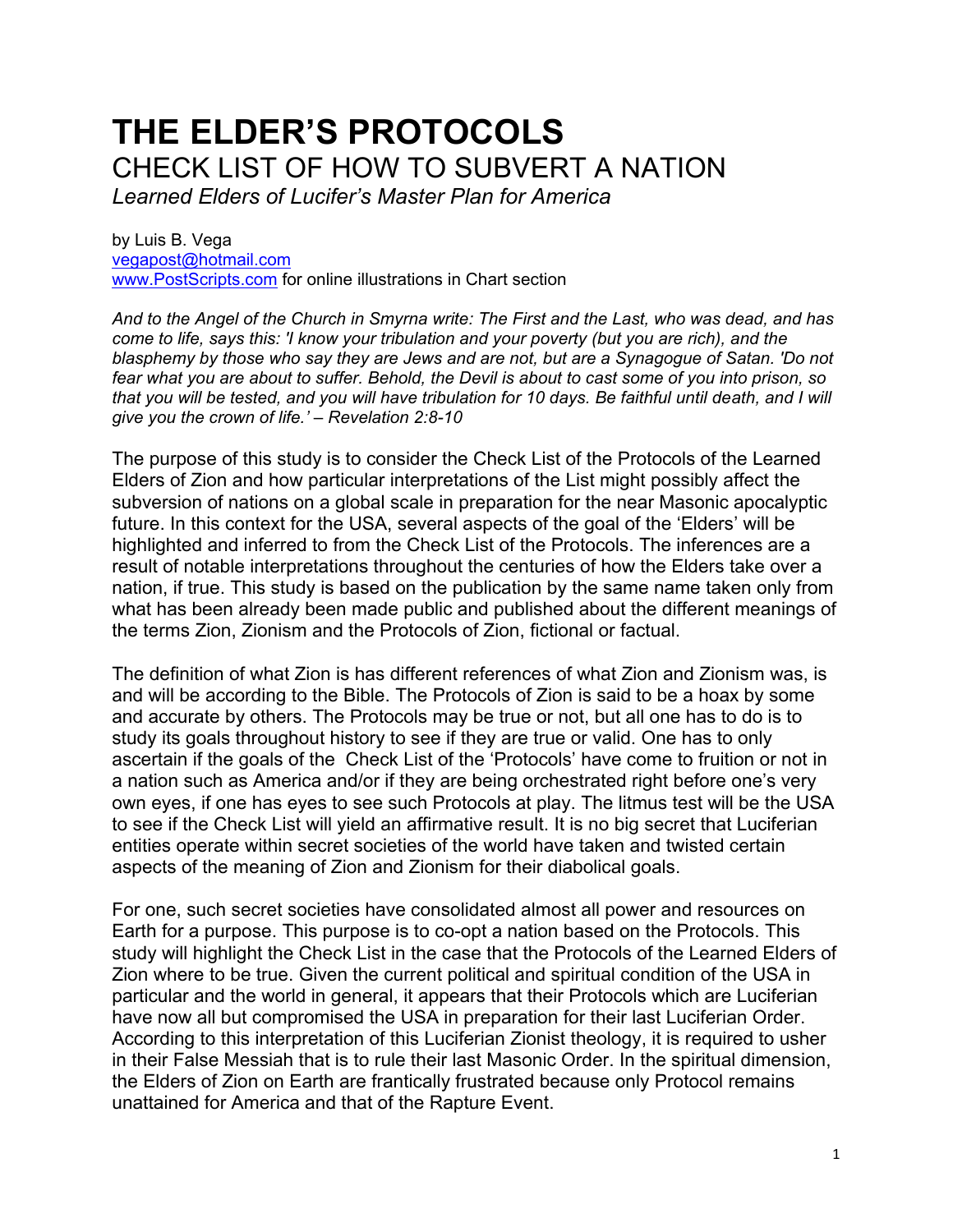# **THE ELDER'S PROTOCOLS** CHECK LIST OF HOW TO SUBVERT A NATION

*Learned Elders of Lucifer's Master Plan for America*

by Luis B. Vega [vegapost@hotmail.com](mailto:vegapost@hotmail.com) [www.PostScripts.com](http://www.postscripts.com/) for online illustrations in Chart section

*And to the Angel of the Church in Smyrna write: The First and the Last, who was dead, and has come to life, says this: 'I know your tribulation and your poverty (but you are rich), and the blasphemy by those who say they are Jews and are not, but are a Synagogue of Satan. 'Do not fear what you are about to suffer. Behold, the Devil is about to cast some of you into prison, so that you will be tested, and you will have tribulation for 10 days. Be faithful until death, and I will give you the crown of life.' – Revelation 2:8-10*

The purpose of this study is to consider the Check List of the Protocols of the Learned Elders of Zion and how particular interpretations of the List might possibly affect the subversion of nations on a global scale in preparation for the near Masonic apocalyptic future. In this context for the USA, several aspects of the goal of the 'Elders' will be highlighted and inferred to from the Check List of the Protocols. The inferences are a result of notable interpretations throughout the centuries of how the Elders take over a nation, if true. This study is based on the publication by the same name taken only from what has been already been made public and published about the different meanings of the terms Zion, Zionism and the Protocols of Zion, fictional or factual.

The definition of what Zion is has different references of what Zion and Zionism was, is and will be according to the Bible. The Protocols of Zion is said to be a hoax by some and accurate by others. The Protocols may be true or not, but all one has to do is to study its goals throughout history to see if they are true or valid. One has to only ascertain if the goals of the Check List of the 'Protocols' have come to fruition or not in a nation such as America and/or if they are being orchestrated right before one's very own eyes, if one has eyes to see such Protocols at play. The litmus test will be the USA to see if the Check List will yield an affirmative result. It is no big secret that Luciferian entities operate within secret societies of the world have taken and twisted certain aspects of the meaning of Zion and Zionism for their diabolical goals.

For one, such secret societies have consolidated almost all power and resources on Earth for a purpose. This purpose is to co-opt a nation based on the Protocols. This study will highlight the Check List in the case that the Protocols of the Learned Elders of Zion where to be true. Given the current political and spiritual condition of the USA in particular and the world in general, it appears that their Protocols which are Luciferian have now all but compromised the USA in preparation for their last Luciferian Order. According to this interpretation of this Luciferian Zionist theology, it is required to usher in their False Messiah that is to rule their last Masonic Order. In the spiritual dimension, the Elders of Zion on Earth are frantically frustrated because only Protocol remains unattained for America and that of the Rapture Event.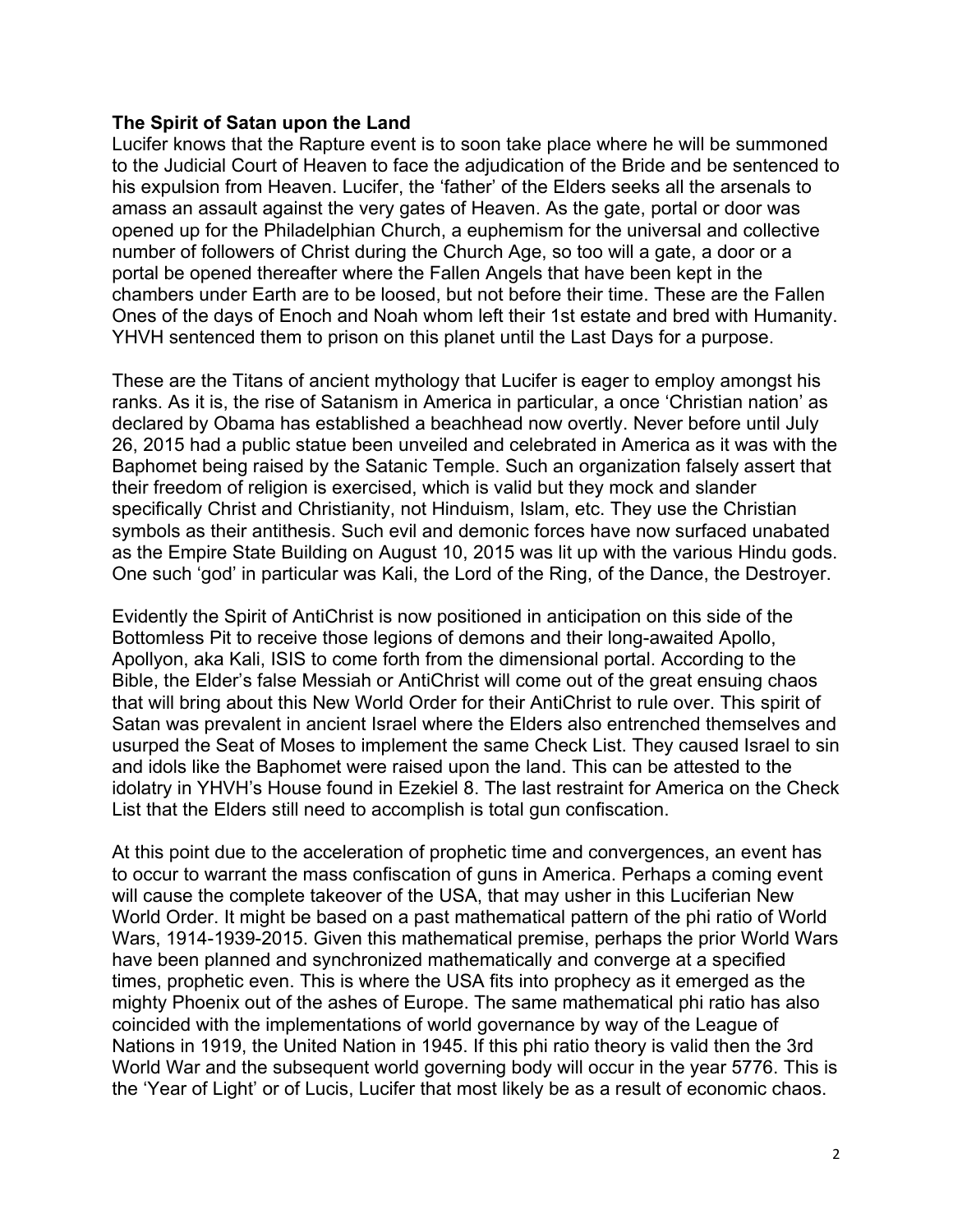#### **The Spirit of Satan upon the Land**

Lucifer knows that the Rapture event is to soon take place where he will be summoned to the Judicial Court of Heaven to face the adjudication of the Bride and be sentenced to his expulsion from Heaven. Lucifer, the 'father' of the Elders seeks all the arsenals to amass an assault against the very gates of Heaven. As the gate, portal or door was opened up for the Philadelphian Church, a euphemism for the universal and collective number of followers of Christ during the Church Age, so too will a gate, a door or a portal be opened thereafter where the Fallen Angels that have been kept in the chambers under Earth are to be loosed, but not before their time. These are the Fallen Ones of the days of Enoch and Noah whom left their 1st estate and bred with Humanity. YHVH sentenced them to prison on this planet until the Last Days for a purpose.

These are the Titans of ancient mythology that Lucifer is eager to employ amongst his ranks. As it is, the rise of Satanism in America in particular, a once 'Christian nation' as declared by Obama has established a beachhead now overtly. Never before until July 26, 2015 had a public statue been unveiled and celebrated in America as it was with the Baphomet being raised by the Satanic Temple. Such an organization falsely assert that their freedom of religion is exercised, which is valid but they mock and slander specifically Christ and Christianity, not Hinduism, Islam, etc. They use the Christian symbols as their antithesis. Such evil and demonic forces have now surfaced unabated as the Empire State Building on August 10, 2015 was lit up with the various Hindu gods. One such 'god' in particular was Kali, the Lord of the Ring, of the Dance, the Destroyer.

Evidently the Spirit of AntiChrist is now positioned in anticipation on this side of the Bottomless Pit to receive those legions of demons and their long-awaited Apollo, Apollyon, aka Kali, ISIS to come forth from the dimensional portal. According to the Bible, the Elder's false Messiah or AntiChrist will come out of the great ensuing chaos that will bring about this New World Order for their AntiChrist to rule over. This spirit of Satan was prevalent in ancient Israel where the Elders also entrenched themselves and usurped the Seat of Moses to implement the same Check List. They caused Israel to sin and idols like the Baphomet were raised upon the land. This can be attested to the idolatry in YHVH's House found in Ezekiel 8. The last restraint for America on the Check List that the Elders still need to accomplish is total gun confiscation.

At this point due to the acceleration of prophetic time and convergences, an event has to occur to warrant the mass confiscation of guns in America. Perhaps a coming event will cause the complete takeover of the USA, that may usher in this Luciferian New World Order. It might be based on a past mathematical pattern of the phi ratio of World Wars, 1914-1939-2015. Given this mathematical premise, perhaps the prior World Wars have been planned and synchronized mathematically and converge at a specified times, prophetic even. This is where the USA fits into prophecy as it emerged as the mighty Phoenix out of the ashes of Europe. The same mathematical phi ratio has also coincided with the implementations of world governance by way of the League of Nations in 1919, the United Nation in 1945. If this phi ratio theory is valid then the 3rd World War and the subsequent world governing body will occur in the year 5776. This is the 'Year of Light' or of Lucis, Lucifer that most likely be as a result of economic chaos.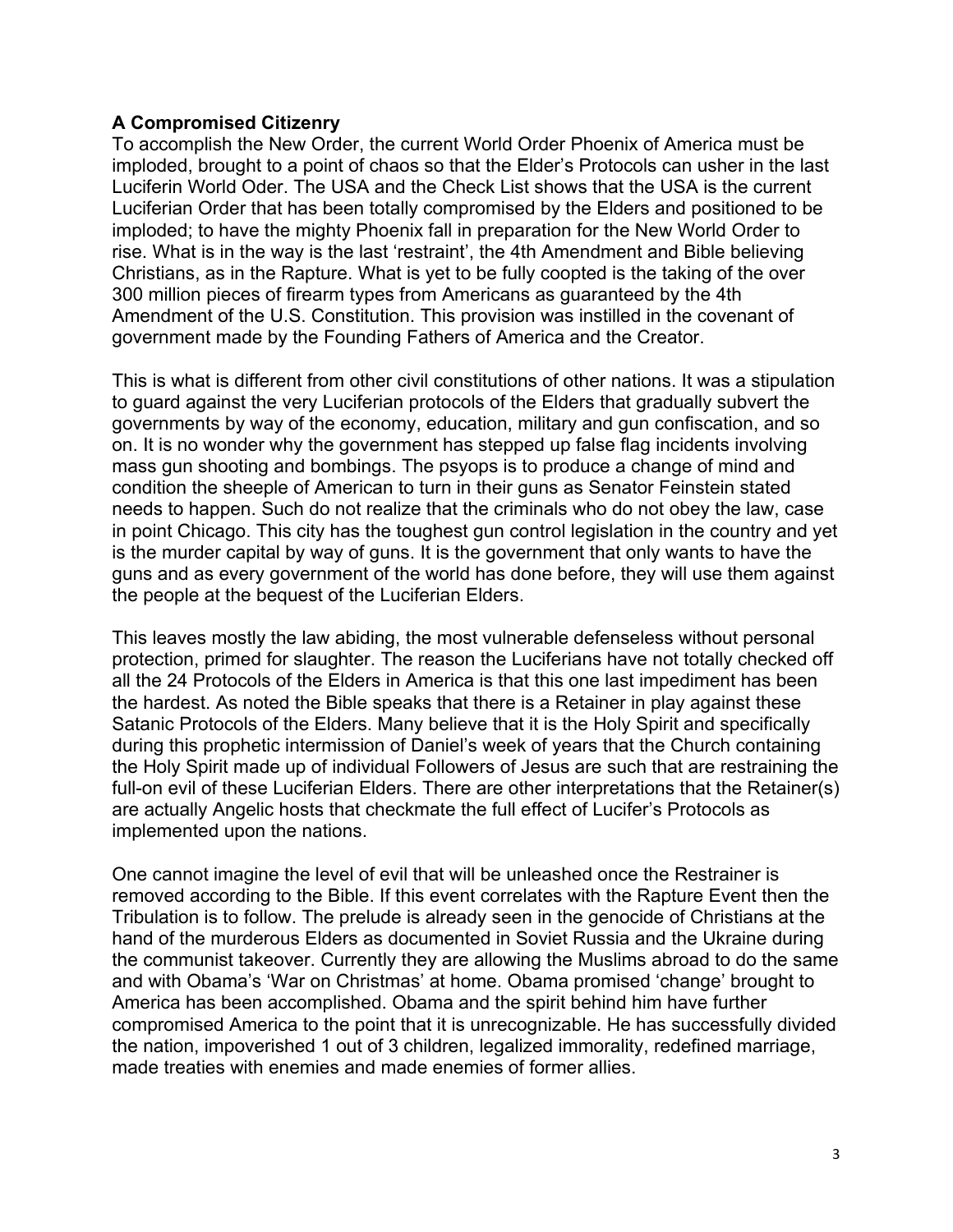## **A Compromised Citizenry**

To accomplish the New Order, the current World Order Phoenix of America must be imploded, brought to a point of chaos so that the Elder's Protocols can usher in the last Luciferin World Oder. The USA and the Check List shows that the USA is the current Luciferian Order that has been totally compromised by the Elders and positioned to be imploded; to have the mighty Phoenix fall in preparation for the New World Order to rise. What is in the way is the last 'restraint', the 4th Amendment and Bible believing Christians, as in the Rapture. What is yet to be fully coopted is the taking of the over 300 million pieces of firearm types from Americans as guaranteed by the 4th Amendment of the U.S. Constitution. This provision was instilled in the covenant of government made by the Founding Fathers of America and the Creator.

This is what is different from other civil constitutions of other nations. It was a stipulation to guard against the very Luciferian protocols of the Elders that gradually subvert the governments by way of the economy, education, military and gun confiscation, and so on. It is no wonder why the government has stepped up false flag incidents involving mass gun shooting and bombings. The psyops is to produce a change of mind and condition the sheeple of American to turn in their guns as Senator Feinstein stated needs to happen. Such do not realize that the criminals who do not obey the law, case in point Chicago. This city has the toughest gun control legislation in the country and yet is the murder capital by way of guns. It is the government that only wants to have the guns and as every government of the world has done before, they will use them against the people at the bequest of the Luciferian Elders.

This leaves mostly the law abiding, the most vulnerable defenseless without personal protection, primed for slaughter. The reason the Luciferians have not totally checked off all the 24 Protocols of the Elders in America is that this one last impediment has been the hardest. As noted the Bible speaks that there is a Retainer in play against these Satanic Protocols of the Elders. Many believe that it is the Holy Spirit and specifically during this prophetic intermission of Daniel's week of years that the Church containing the Holy Spirit made up of individual Followers of Jesus are such that are restraining the full-on evil of these Luciferian Elders. There are other interpretations that the Retainer(s) are actually Angelic hosts that checkmate the full effect of Lucifer's Protocols as implemented upon the nations.

One cannot imagine the level of evil that will be unleashed once the Restrainer is removed according to the Bible. If this event correlates with the Rapture Event then the Tribulation is to follow. The prelude is already seen in the genocide of Christians at the hand of the murderous Elders as documented in Soviet Russia and the Ukraine during the communist takeover. Currently they are allowing the Muslims abroad to do the same and with Obama's 'War on Christmas' at home. Obama promised 'change' brought to America has been accomplished. Obama and the spirit behind him have further compromised America to the point that it is unrecognizable. He has successfully divided the nation, impoverished 1 out of 3 children, legalized immorality, redefined marriage, made treaties with enemies and made enemies of former allies.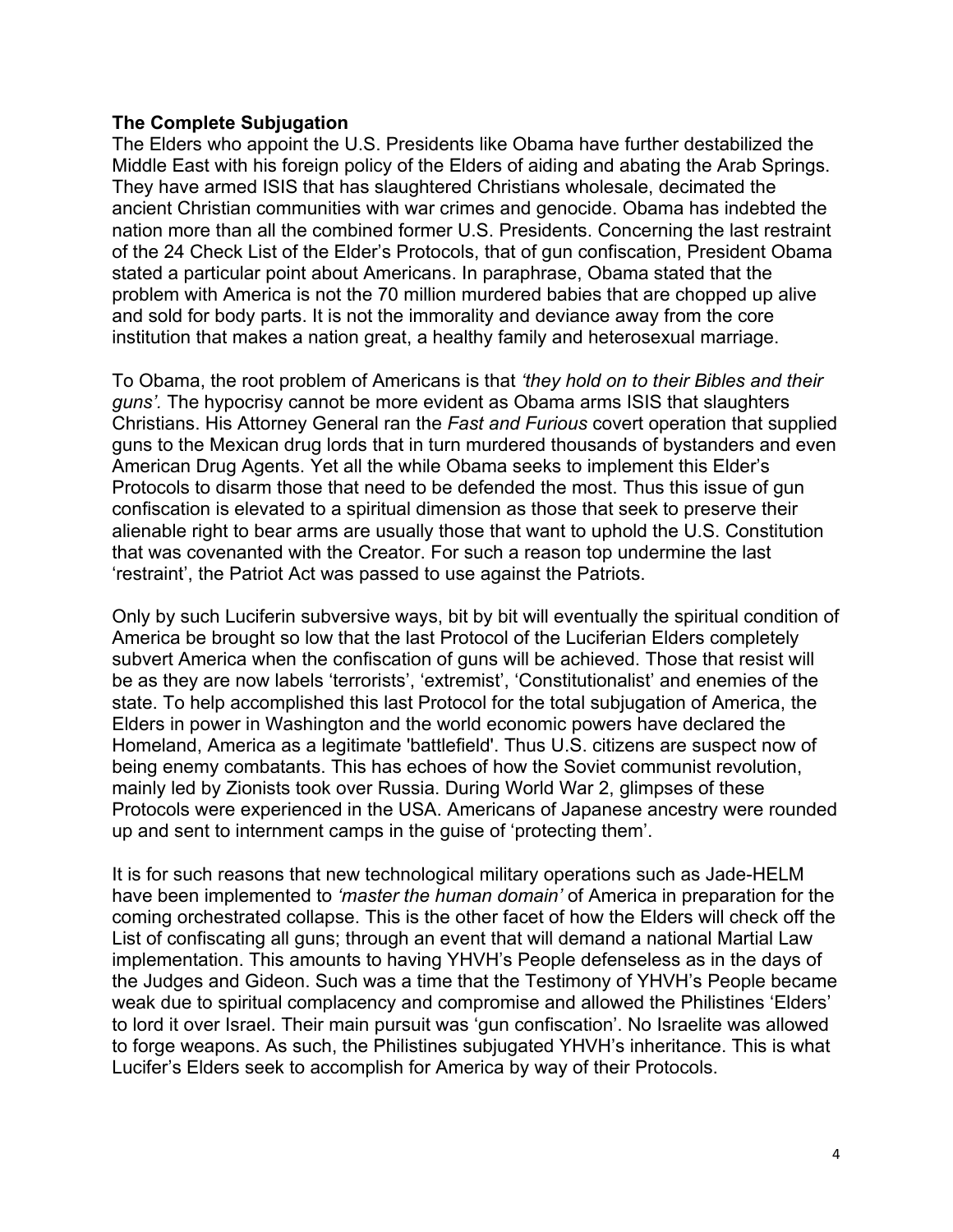#### **The Complete Subjugation**

The Elders who appoint the U.S. Presidents like Obama have further destabilized the Middle East with his foreign policy of the Elders of aiding and abating the Arab Springs. They have armed ISIS that has slaughtered Christians wholesale, decimated the ancient Christian communities with war crimes and genocide. Obama has indebted the nation more than all the combined former U.S. Presidents. Concerning the last restraint of the 24 Check List of the Elder's Protocols, that of gun confiscation, President Obama stated a particular point about Americans. In paraphrase, Obama stated that the problem with America is not the 70 million murdered babies that are chopped up alive and sold for body parts. It is not the immorality and deviance away from the core institution that makes a nation great, a healthy family and heterosexual marriage.

To Obama, the root problem of Americans is that *'they hold on to their Bibles and their guns'.* The hypocrisy cannot be more evident as Obama arms ISIS that slaughters Christians. His Attorney General ran the *Fast and Furious* covert operation that supplied guns to the Mexican drug lords that in turn murdered thousands of bystanders and even American Drug Agents. Yet all the while Obama seeks to implement this Elder's Protocols to disarm those that need to be defended the most. Thus this issue of gun confiscation is elevated to a spiritual dimension as those that seek to preserve their alienable right to bear arms are usually those that want to uphold the U.S. Constitution that was covenanted with the Creator. For such a reason top undermine the last 'restraint', the Patriot Act was passed to use against the Patriots.

Only by such Luciferin subversive ways, bit by bit will eventually the spiritual condition of America be brought so low that the last Protocol of the Luciferian Elders completely subvert America when the confiscation of guns will be achieved. Those that resist will be as they are now labels 'terrorists', 'extremist', 'Constitutionalist' and enemies of the state. To help accomplished this last Protocol for the total subjugation of America, the Elders in power in Washington and the world economic powers have declared the Homeland, America as a legitimate 'battlefield'. Thus U.S. citizens are suspect now of being enemy combatants. This has echoes of how the Soviet communist revolution, mainly led by Zionists took over Russia. During World War 2, glimpses of these Protocols were experienced in the USA. Americans of Japanese ancestry were rounded up and sent to internment camps in the guise of 'protecting them'.

It is for such reasons that new technological military operations such as Jade-HELM have been implemented to *'master the human domain'* of America in preparation for the coming orchestrated collapse. This is the other facet of how the Elders will check off the List of confiscating all guns; through an event that will demand a national Martial Law implementation. This amounts to having YHVH's People defenseless as in the days of the Judges and Gideon. Such was a time that the Testimony of YHVH's People became weak due to spiritual complacency and compromise and allowed the Philistines 'Elders' to lord it over Israel. Their main pursuit was 'gun confiscation'. No Israelite was allowed to forge weapons. As such, the Philistines subjugated YHVH's inheritance. This is what Lucifer's Elders seek to accomplish for America by way of their Protocols.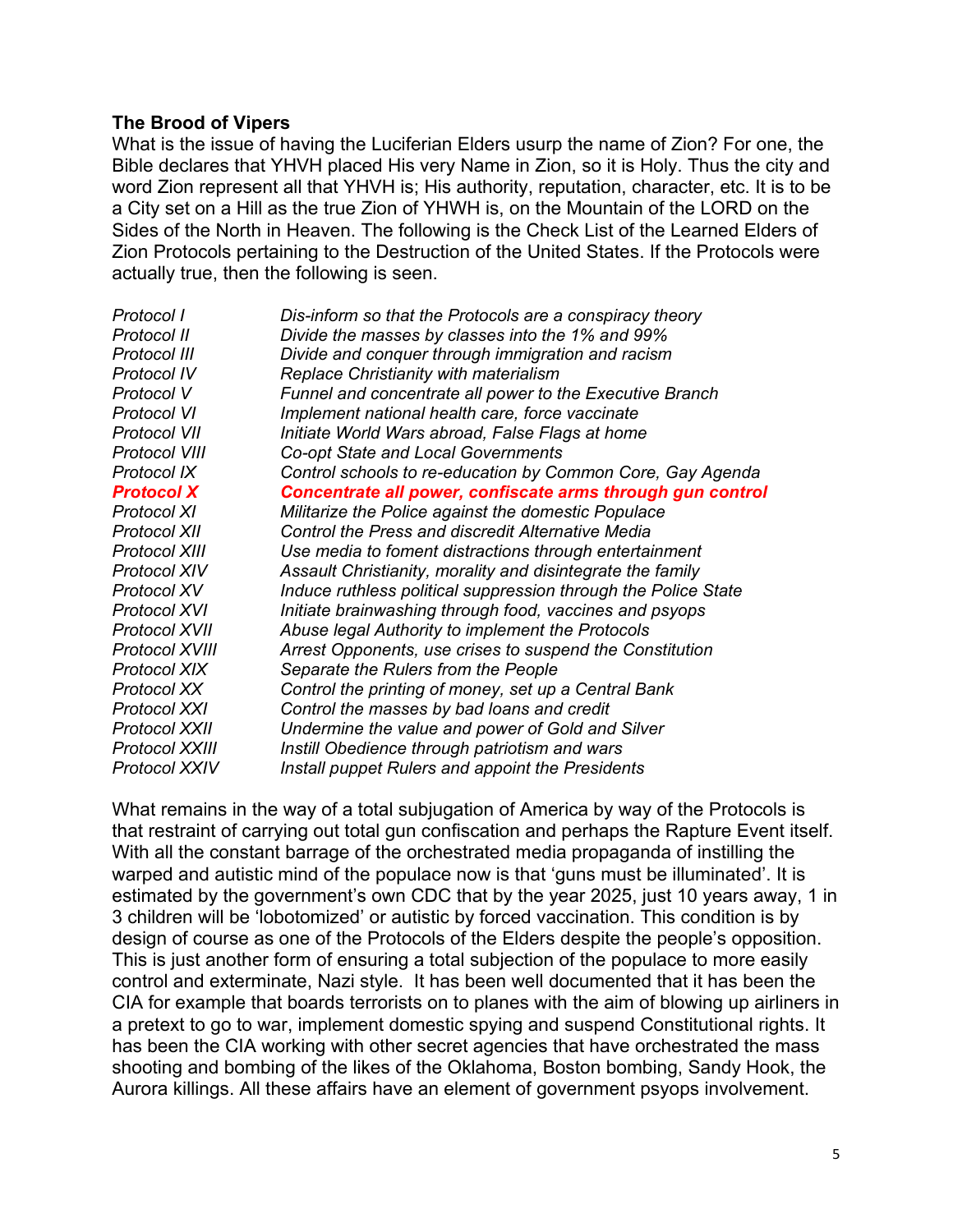#### **The Brood of Vipers**

What is the issue of having the Luciferian Elders usurp the name of Zion? For one, the Bible declares that YHVH placed His very Name in Zion, so it is Holy. Thus the city and word Zion represent all that YHVH is; His authority, reputation, character, etc. It is to be a City set on a Hill as the true Zion of YHWH is, on the Mountain of the LORD on the Sides of the North in Heaven. The following is the Check List of the Learned Elders of Zion Protocols pertaining to the Destruction of the United States. If the Protocols were actually true, then the following is seen.

| Protocol I           | Dis-inform so that the Protocols are a conspiracy theory       |
|----------------------|----------------------------------------------------------------|
| Protocol II          | Divide the masses by classes into the 1% and 99%               |
| Protocol III         | Divide and conquer through immigration and racism              |
| Protocol IV          | Replace Christianity with materialism                          |
| Protocol V           | Funnel and concentrate all power to the Executive Branch       |
| <b>Protocol VI</b>   | Implement national health care, force vaccinate                |
| <b>Protocol VII</b>  | Initiate World Wars abroad, False Flags at home                |
| Protocol VIII        | Co-opt State and Local Governments                             |
| Protocol IX          | Control schools to re-education by Common Core, Gay Agenda     |
| <b>Protocol X</b>    | Concentrate all power, confiscate arms through gun control     |
| <b>Protocol XI</b>   | Militarize the Police against the domestic Populace            |
| <b>Protocol XII</b>  | <b>Control the Press and discredit Alternative Media</b>       |
| Protocol XIII        | Use media to foment distractions through entertainment         |
| <b>Protocol XIV</b>  | Assault Christianity, morality and disintegrate the family     |
| <b>Protocol XV</b>   | Induce ruthless political suppression through the Police State |
| <b>Protocol XVI</b>  | Initiate brainwashing through food, vaccines and psyops        |
| <b>Protocol XVII</b> | Abuse legal Authority to implement the Protocols               |
| Protocol XVIII       | Arrest Opponents, use crises to suspend the Constitution       |
| <b>Protocol XIX</b>  | Separate the Rulers from the People                            |
| Protocol XX          | Control the printing of money, set up a Central Bank           |
| <b>Protocol XXI</b>  | Control the masses by bad loans and credit                     |
| <b>Protocol XXII</b> | Undermine the value and power of Gold and Silver               |
| Protocol XXIII       | Instill Obedience through patriotism and wars                  |
| Protocol XXIV        | Install puppet Rulers and appoint the Presidents               |

What remains in the way of a total subjugation of America by way of the Protocols is that restraint of carrying out total gun confiscation and perhaps the Rapture Event itself. With all the constant barrage of the orchestrated media propaganda of instilling the warped and autistic mind of the populace now is that 'guns must be illuminated'. It is estimated by the government's own CDC that by the year 2025, just 10 years away, 1 in 3 children will be 'lobotomized' or autistic by forced vaccination. This condition is by design of course as one of the Protocols of the Elders despite the people's opposition. This is just another form of ensuring a total subjection of the populace to more easily control and exterminate, Nazi style. It has been well documented that it has been the CIA for example that boards terrorists on to planes with the aim of blowing up airliners in a pretext to go to war, implement domestic spying and suspend Constitutional rights. It has been the CIA working with other secret agencies that have orchestrated the mass shooting and bombing of the likes of the Oklahoma, Boston bombing, Sandy Hook, the Aurora killings. All these affairs have an element of government psyops involvement.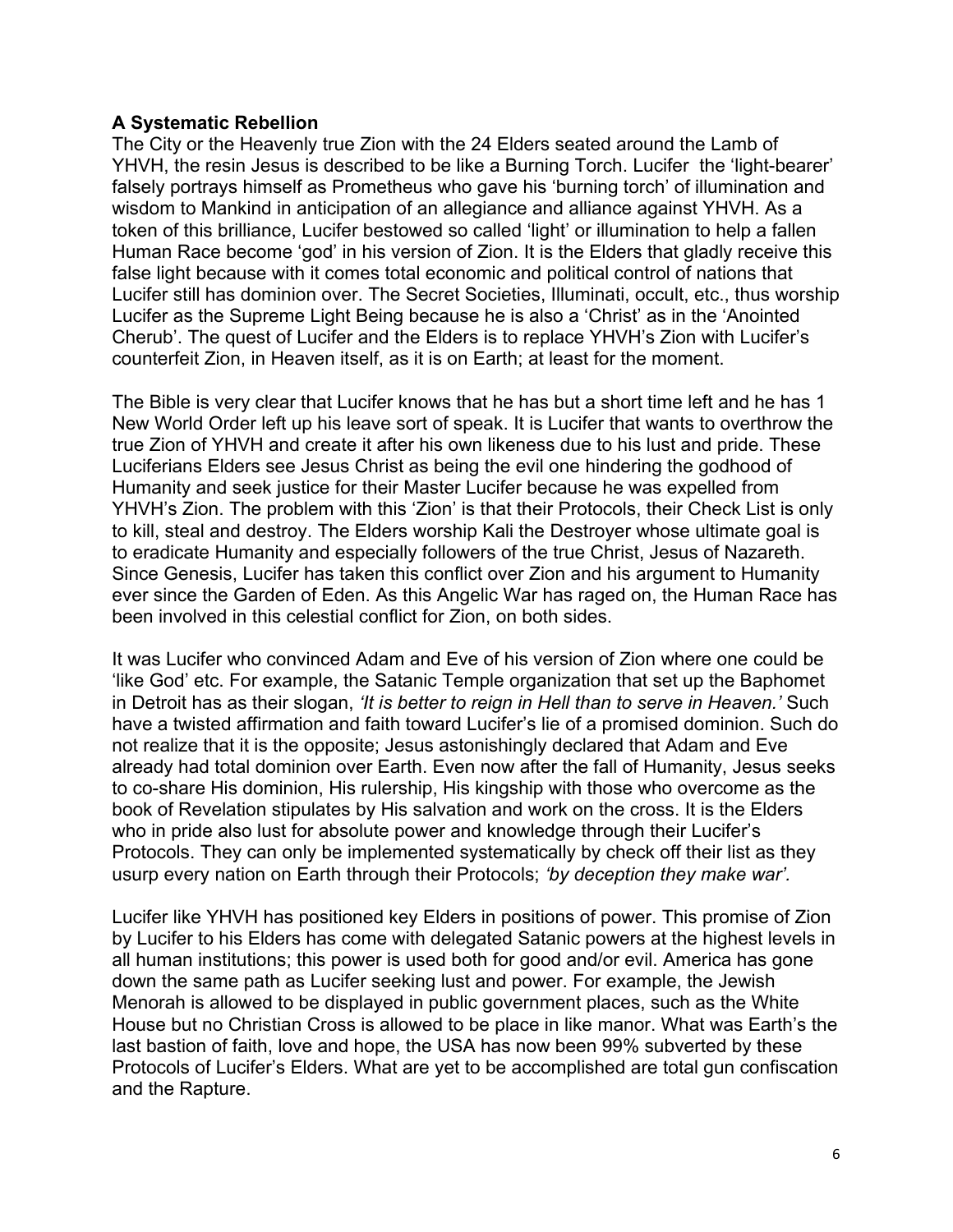## **A Systematic Rebellion**

The City or the Heavenly true Zion with the 24 Elders seated around the Lamb of YHVH, the resin Jesus is described to be like a Burning Torch. Lucifer the 'light-bearer' falsely portrays himself as Prometheus who gave his 'burning torch' of illumination and wisdom to Mankind in anticipation of an allegiance and alliance against YHVH. As a token of this brilliance, Lucifer bestowed so called 'light' or illumination to help a fallen Human Race become 'god' in his version of Zion. It is the Elders that gladly receive this false light because with it comes total economic and political control of nations that Lucifer still has dominion over. The Secret Societies, Illuminati, occult, etc., thus worship Lucifer as the Supreme Light Being because he is also a 'Christ' as in the 'Anointed Cherub'. The quest of Lucifer and the Elders is to replace YHVH's Zion with Lucifer's counterfeit Zion, in Heaven itself, as it is on Earth; at least for the moment.

The Bible is very clear that Lucifer knows that he has but a short time left and he has 1 New World Order left up his leave sort of speak. It is Lucifer that wants to overthrow the true Zion of YHVH and create it after his own likeness due to his lust and pride. These Luciferians Elders see Jesus Christ as being the evil one hindering the godhood of Humanity and seek justice for their Master Lucifer because he was expelled from YHVH's Zion. The problem with this 'Zion' is that their Protocols, their Check List is only to kill, steal and destroy. The Elders worship Kali the Destroyer whose ultimate goal is to eradicate Humanity and especially followers of the true Christ, Jesus of Nazareth. Since Genesis, Lucifer has taken this conflict over Zion and his argument to Humanity ever since the Garden of Eden. As this Angelic War has raged on, the Human Race has been involved in this celestial conflict for Zion, on both sides.

It was Lucifer who convinced Adam and Eve of his version of Zion where one could be 'like God' etc. For example, the Satanic Temple organization that set up the Baphomet in Detroit has as their slogan, *'It is better to reign in Hell than to serve in Heaven.'* Such have a twisted affirmation and faith toward Lucifer's lie of a promised dominion. Such do not realize that it is the opposite; Jesus astonishingly declared that Adam and Eve already had total dominion over Earth. Even now after the fall of Humanity, Jesus seeks to co-share His dominion, His rulership, His kingship with those who overcome as the book of Revelation stipulates by His salvation and work on the cross. It is the Elders who in pride also lust for absolute power and knowledge through their Lucifer's Protocols. They can only be implemented systematically by check off their list as they usurp every nation on Earth through their Protocols; *'by deception they make war'.* 

Lucifer like YHVH has positioned key Elders in positions of power. This promise of Zion by Lucifer to his Elders has come with delegated Satanic powers at the highest levels in all human institutions; this power is used both for good and/or evil. America has gone down the same path as Lucifer seeking lust and power. For example, the Jewish Menorah is allowed to be displayed in public government places, such as the White House but no Christian Cross is allowed to be place in like manor. What was Earth's the last bastion of faith, love and hope, the USA has now been 99% subverted by these Protocols of Lucifer's Elders. What are yet to be accomplished are total gun confiscation and the Rapture.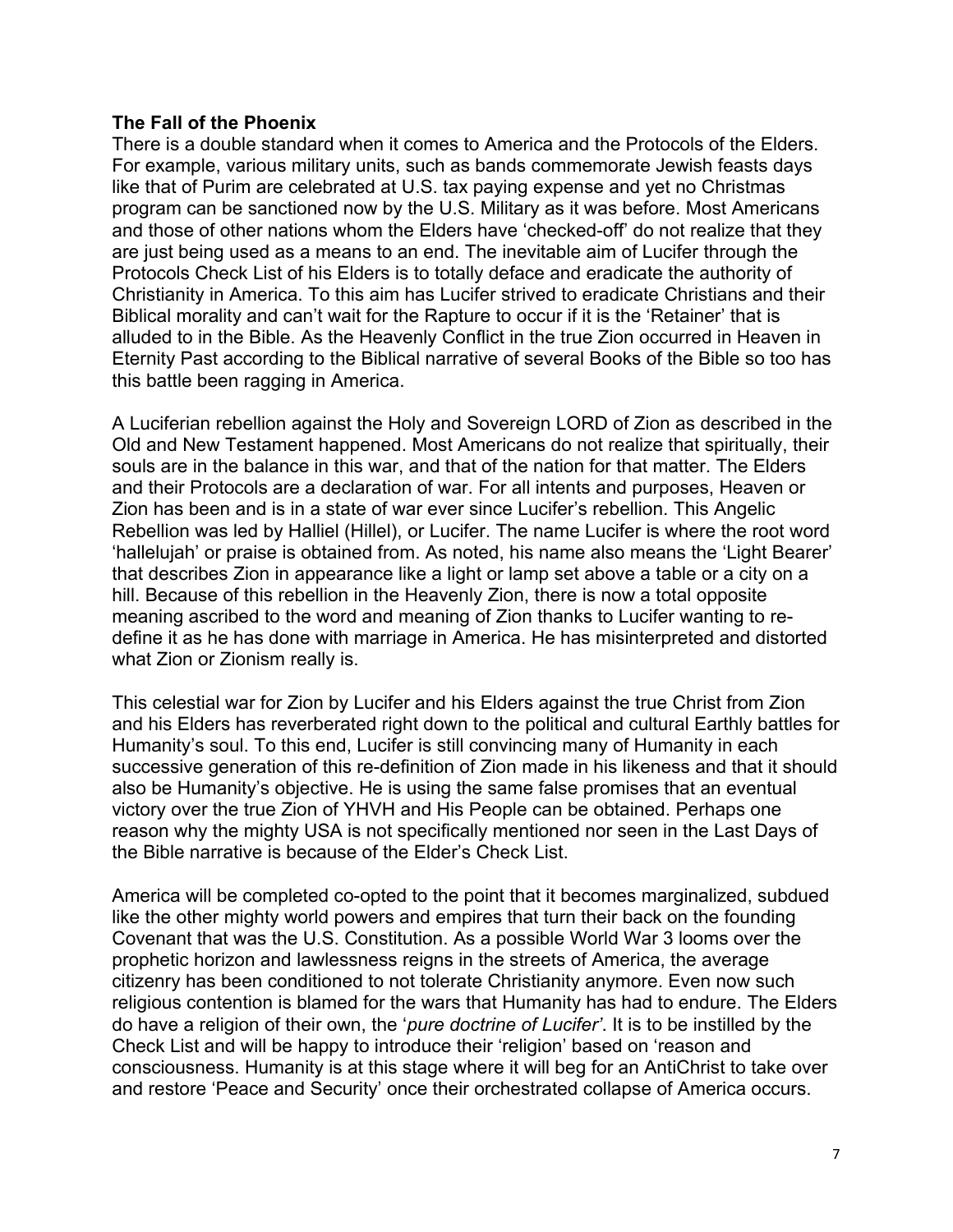## **The Fall of the Phoenix**

There is a double standard when it comes to America and the Protocols of the Elders. For example, various military units, such as bands commemorate Jewish feasts days like that of Purim are celebrated at U.S. tax paying expense and yet no Christmas program can be sanctioned now by the U.S. Military as it was before. Most Americans and those of other nations whom the Elders have 'checked-off' do not realize that they are just being used as a means to an end. The inevitable aim of Lucifer through the Protocols Check List of his Elders is to totally deface and eradicate the authority of Christianity in America. To this aim has Lucifer strived to eradicate Christians and their Biblical morality and can't wait for the Rapture to occur if it is the 'Retainer' that is alluded to in the Bible. As the Heavenly Conflict in the true Zion occurred in Heaven in Eternity Past according to the Biblical narrative of several Books of the Bible so too has this battle been ragging in America.

A Luciferian rebellion against the Holy and Sovereign LORD of Zion as described in the Old and New Testament happened. Most Americans do not realize that spiritually, their souls are in the balance in this war, and that of the nation for that matter. The Elders and their Protocols are a declaration of war. For all intents and purposes, Heaven or Zion has been and is in a state of war ever since Lucifer's rebellion. This Angelic Rebellion was led by Halliel (Hillel), or Lucifer. The name Lucifer is where the root word 'hallelujah' or praise is obtained from. As noted, his name also means the 'Light Bearer' that describes Zion in appearance like a light or lamp set above a table or a city on a hill. Because of this rebellion in the Heavenly Zion, there is now a total opposite meaning ascribed to the word and meaning of Zion thanks to Lucifer wanting to redefine it as he has done with marriage in America. He has misinterpreted and distorted what Zion or Zionism really is.

This celestial war for Zion by Lucifer and his Elders against the true Christ from Zion and his Elders has reverberated right down to the political and cultural Earthly battles for Humanity's soul. To this end, Lucifer is still convincing many of Humanity in each successive generation of this re-definition of Zion made in his likeness and that it should also be Humanity's objective. He is using the same false promises that an eventual victory over the true Zion of YHVH and His People can be obtained. Perhaps one reason why the mighty USA is not specifically mentioned nor seen in the Last Days of the Bible narrative is because of the Elder's Check List.

America will be completed co-opted to the point that it becomes marginalized, subdued like the other mighty world powers and empires that turn their back on the founding Covenant that was the U.S. Constitution. As a possible World War 3 looms over the prophetic horizon and lawlessness reigns in the streets of America, the average citizenry has been conditioned to not tolerate Christianity anymore. Even now such religious contention is blamed for the wars that Humanity has had to endure. The Elders do have a religion of their own, the '*pure doctrine of Lucifer'*. It is to be instilled by the Check List and will be happy to introduce their 'religion' based on 'reason and consciousness. Humanity is at this stage where it will beg for an AntiChrist to take over and restore 'Peace and Security' once their orchestrated collapse of America occurs.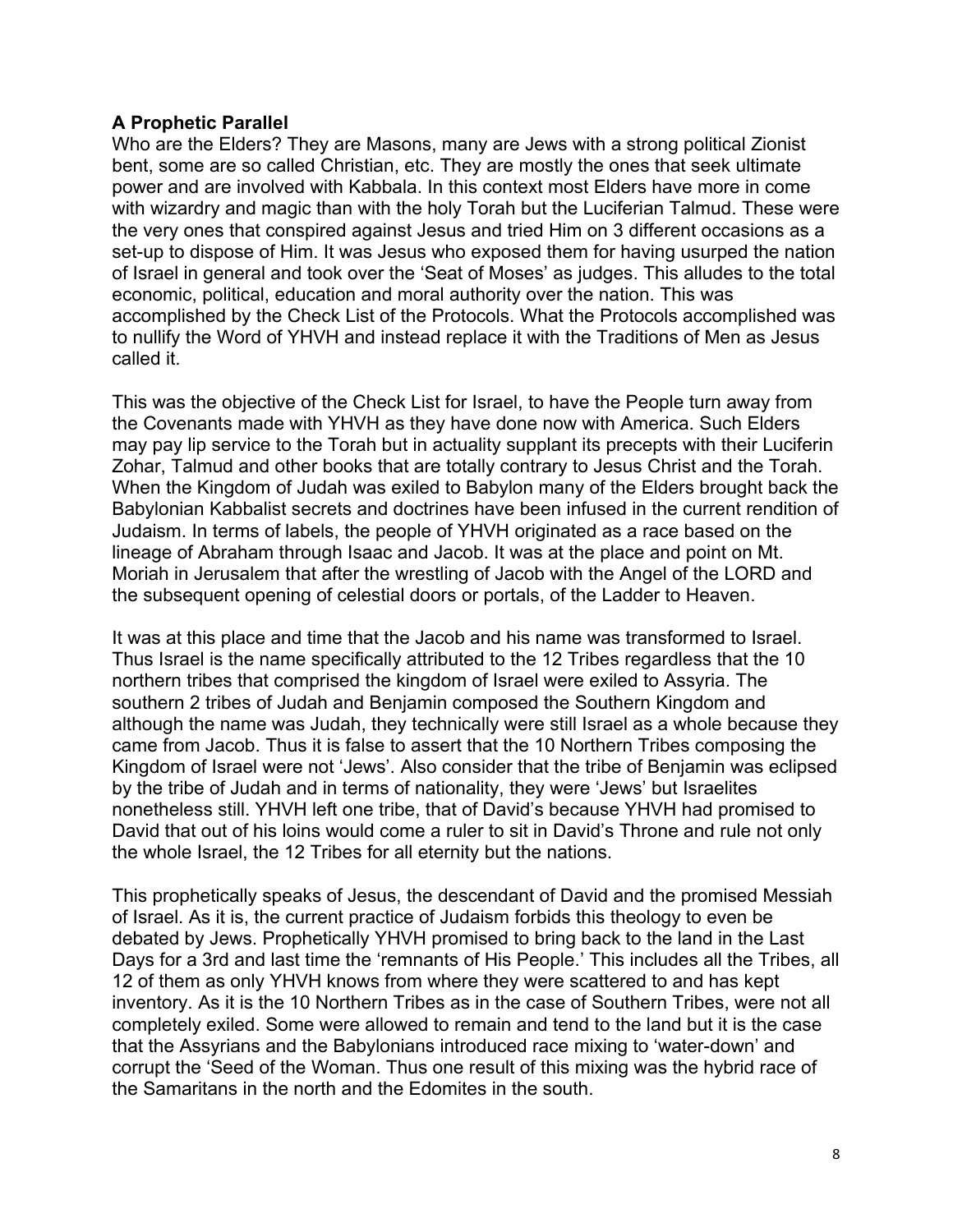## **A Prophetic Parallel**

Who are the Elders? They are Masons, many are Jews with a strong political Zionist bent, some are so called Christian, etc. They are mostly the ones that seek ultimate power and are involved with Kabbala. In this context most Elders have more in come with wizardry and magic than with the holy Torah but the Luciferian Talmud. These were the very ones that conspired against Jesus and tried Him on 3 different occasions as a set-up to dispose of Him. It was Jesus who exposed them for having usurped the nation of Israel in general and took over the 'Seat of Moses' as judges. This alludes to the total economic, political, education and moral authority over the nation. This was accomplished by the Check List of the Protocols. What the Protocols accomplished was to nullify the Word of YHVH and instead replace it with the Traditions of Men as Jesus called it.

This was the objective of the Check List for Israel, to have the People turn away from the Covenants made with YHVH as they have done now with America. Such Elders may pay lip service to the Torah but in actuality supplant its precepts with their Luciferin Zohar, Talmud and other books that are totally contrary to Jesus Christ and the Torah. When the Kingdom of Judah was exiled to Babylon many of the Elders brought back the Babylonian Kabbalist secrets and doctrines have been infused in the current rendition of Judaism. In terms of labels, the people of YHVH originated as a race based on the lineage of Abraham through Isaac and Jacob. It was at the place and point on Mt. Moriah in Jerusalem that after the wrestling of Jacob with the Angel of the LORD and the subsequent opening of celestial doors or portals, of the Ladder to Heaven.

It was at this place and time that the Jacob and his name was transformed to Israel. Thus Israel is the name specifically attributed to the 12 Tribes regardless that the 10 northern tribes that comprised the kingdom of Israel were exiled to Assyria. The southern 2 tribes of Judah and Benjamin composed the Southern Kingdom and although the name was Judah, they technically were still Israel as a whole because they came from Jacob. Thus it is false to assert that the 10 Northern Tribes composing the Kingdom of Israel were not 'Jews'. Also consider that the tribe of Benjamin was eclipsed by the tribe of Judah and in terms of nationality, they were 'Jews' but Israelites nonetheless still. YHVH left one tribe, that of David's because YHVH had promised to David that out of his loins would come a ruler to sit in David's Throne and rule not only the whole Israel, the 12 Tribes for all eternity but the nations.

This prophetically speaks of Jesus, the descendant of David and the promised Messiah of Israel. As it is, the current practice of Judaism forbids this theology to even be debated by Jews. Prophetically YHVH promised to bring back to the land in the Last Days for a 3rd and last time the 'remnants of His People.' This includes all the Tribes, all 12 of them as only YHVH knows from where they were scattered to and has kept inventory. As it is the 10 Northern Tribes as in the case of Southern Tribes, were not all completely exiled. Some were allowed to remain and tend to the land but it is the case that the Assyrians and the Babylonians introduced race mixing to 'water-down' and corrupt the 'Seed of the Woman. Thus one result of this mixing was the hybrid race of the Samaritans in the north and the Edomites in the south.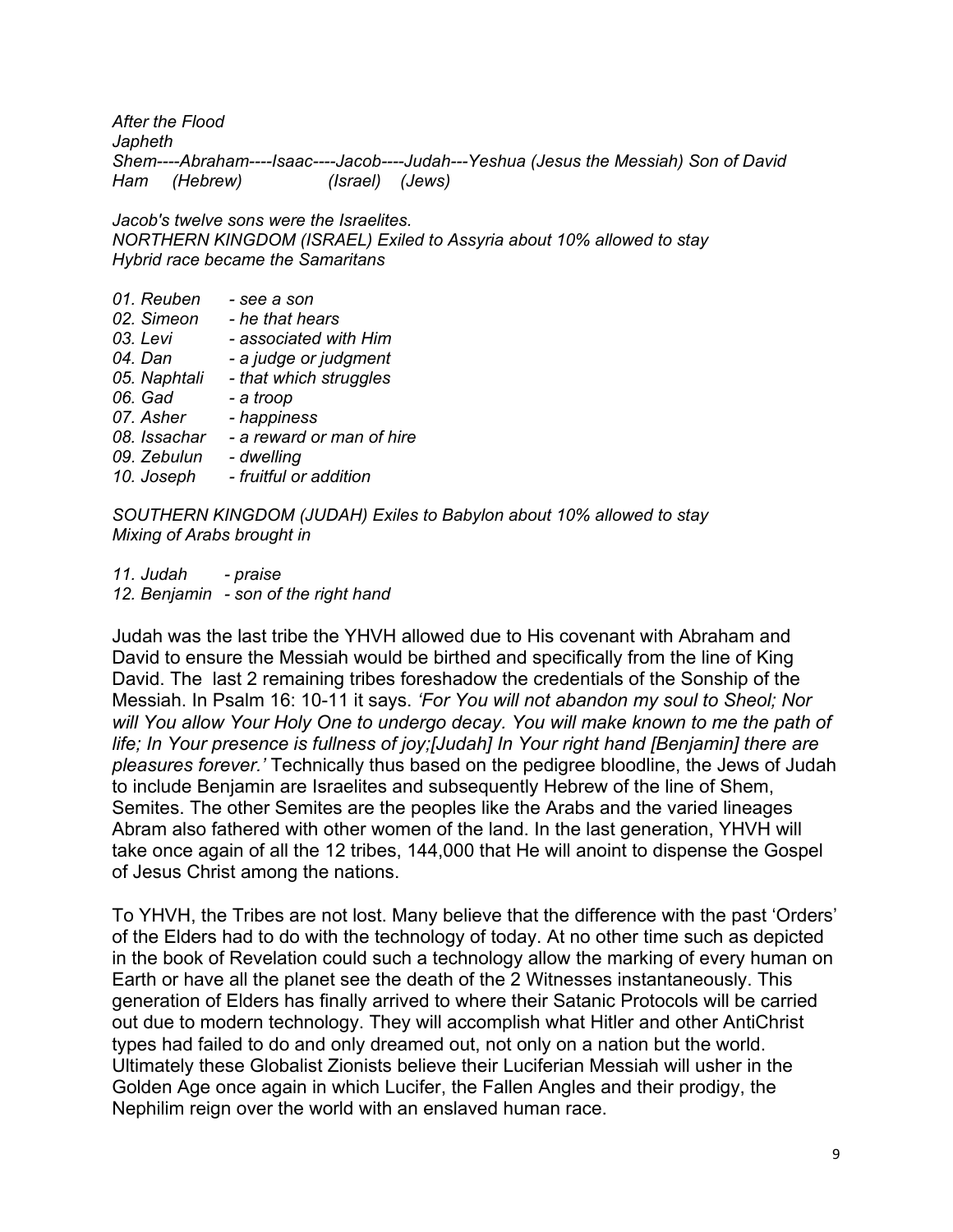*After the Flood Japheth Shem----Abraham----Isaac----Jacob----Judah---Yeshua (Jesus the Messiah) Son of David Ham (Hebrew) (Israel) (Jews)*

*Jacob's twelve sons were the Israelites. NORTHERN KINGDOM (ISRAEL) Exiled to Assyria about 10% allowed to stay Hybrid race became the Samaritans*

| 01. Reuben   | - see a son               |
|--------------|---------------------------|
| 02. Simeon   | - he that hears           |
| 03. Levi     | - associated with Him     |
| 04. Dan      | - a judge or judgment     |
| 05. Naphtali | - that which struggles    |
| 06. Gad      | - a troop                 |
| 07. Asher    | - happiness               |
| 08. Issachar | - a reward or man of hire |
| 09. Zebulun  | - dwelling                |
| 10. Joseph   | - fruitful or addition    |
|              |                           |

*SOUTHERN KINGDOM (JUDAH) Exiles to Babylon about 10% allowed to stay Mixing of Arabs brought in*

*11. Judah - praise 12. Benjamin - son of the right hand*

Judah was the last tribe the YHVH allowed due to His covenant with Abraham and David to ensure the Messiah would be birthed and specifically from the line of King David. The last 2 remaining tribes foreshadow the credentials of the Sonship of the Messiah. In Psalm 16: 10-11 it says. *'For You will not abandon my soul to Sheol; Nor will You allow Your Holy One to undergo decay. You will make known to me the path of life; In Your presence is fullness of joy;[Judah] In Your right hand [Benjamin] there are pleasures forever.'* Technically thus based on the pedigree bloodline, the Jews of Judah to include Benjamin are Israelites and subsequently Hebrew of the line of Shem, Semites. The other Semites are the peoples like the Arabs and the varied lineages Abram also fathered with other women of the land. In the last generation, YHVH will take once again of all the 12 tribes, 144,000 that He will anoint to dispense the Gospel of Jesus Christ among the nations.

To YHVH, the Tribes are not lost. Many believe that the difference with the past 'Orders' of the Elders had to do with the technology of today. At no other time such as depicted in the book of Revelation could such a technology allow the marking of every human on Earth or have all the planet see the death of the 2 Witnesses instantaneously. This generation of Elders has finally arrived to where their Satanic Protocols will be carried out due to modern technology. They will accomplish what Hitler and other AntiChrist types had failed to do and only dreamed out, not only on a nation but the world. Ultimately these Globalist Zionists believe their Luciferian Messiah will usher in the Golden Age once again in which Lucifer, the Fallen Angles and their prodigy, the Nephilim reign over the world with an enslaved human race.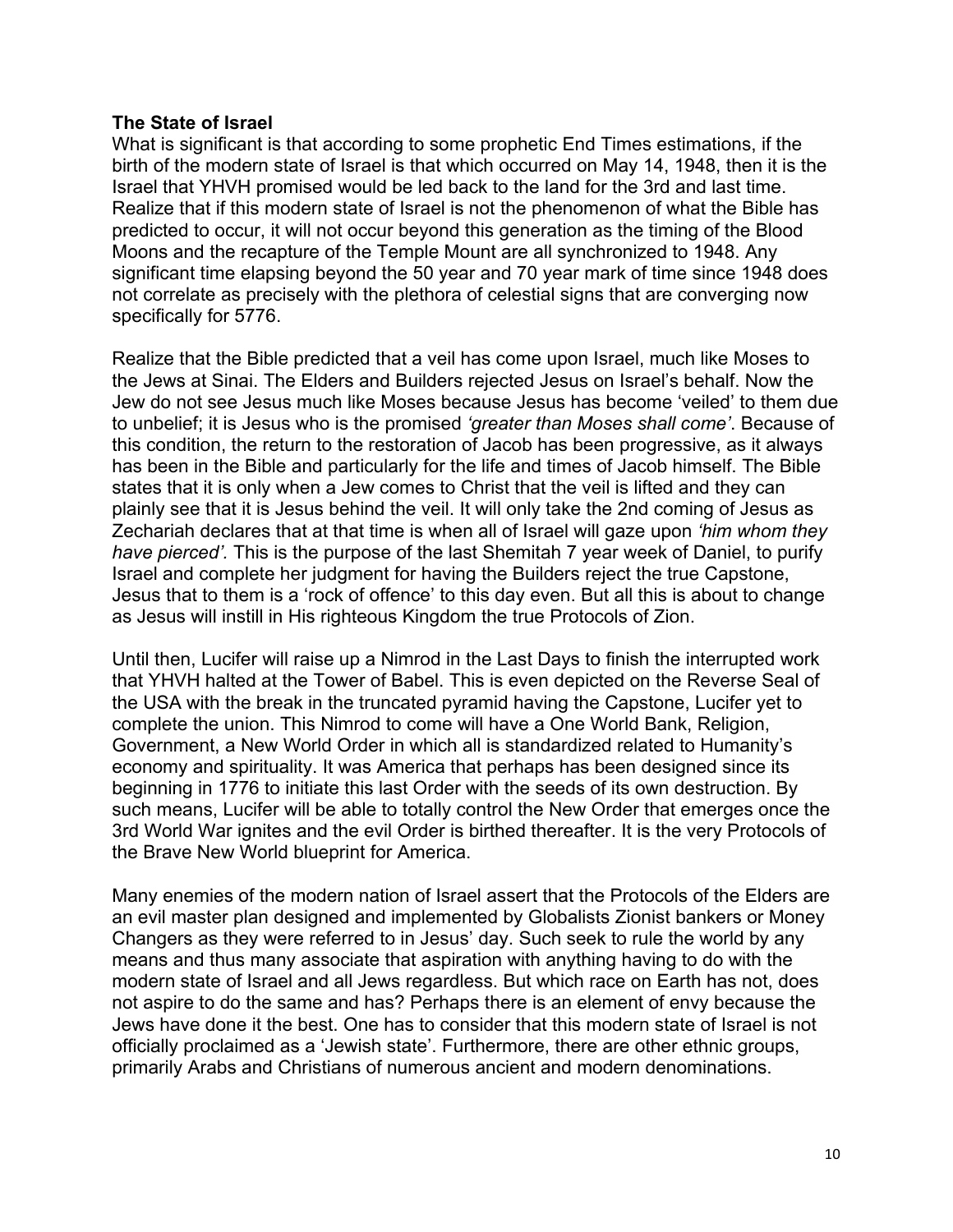## **The State of Israel**

What is significant is that according to some prophetic End Times estimations, if the birth of the modern state of Israel is that which occurred on May 14, 1948, then it is the Israel that YHVH promised would be led back to the land for the 3rd and last time. Realize that if this modern state of Israel is not the phenomenon of what the Bible has predicted to occur, it will not occur beyond this generation as the timing of the Blood Moons and the recapture of the Temple Mount are all synchronized to 1948. Any significant time elapsing beyond the 50 year and 70 year mark of time since 1948 does not correlate as precisely with the plethora of celestial signs that are converging now specifically for 5776.

Realize that the Bible predicted that a veil has come upon Israel, much like Moses to the Jews at Sinai. The Elders and Builders rejected Jesus on Israel's behalf. Now the Jew do not see Jesus much like Moses because Jesus has become 'veiled' to them due to unbelief; it is Jesus who is the promised *'greater than Moses shall come'*. Because of this condition, the return to the restoration of Jacob has been progressive, as it always has been in the Bible and particularly for the life and times of Jacob himself. The Bible states that it is only when a Jew comes to Christ that the veil is lifted and they can plainly see that it is Jesus behind the veil. It will only take the 2nd coming of Jesus as Zechariah declares that at that time is when all of Israel will gaze upon *'him whom they have pierced'.* This is the purpose of the last Shemitah 7 year week of Daniel, to purify Israel and complete her judgment for having the Builders reject the true Capstone, Jesus that to them is a 'rock of offence' to this day even. But all this is about to change as Jesus will instill in His righteous Kingdom the true Protocols of Zion.

Until then, Lucifer will raise up a Nimrod in the Last Days to finish the interrupted work that YHVH halted at the Tower of Babel. This is even depicted on the Reverse Seal of the USA with the break in the truncated pyramid having the Capstone, Lucifer yet to complete the union. This Nimrod to come will have a One World Bank, Religion, Government, a New World Order in which all is standardized related to Humanity's economy and spirituality. It was America that perhaps has been designed since its beginning in 1776 to initiate this last Order with the seeds of its own destruction. By such means, Lucifer will be able to totally control the New Order that emerges once the 3rd World War ignites and the evil Order is birthed thereafter. It is the very Protocols of the Brave New World blueprint for America.

Many enemies of the modern nation of Israel assert that the Protocols of the Elders are an evil master plan designed and implemented by Globalists Zionist bankers or Money Changers as they were referred to in Jesus' day. Such seek to rule the world by any means and thus many associate that aspiration with anything having to do with the modern state of Israel and all Jews regardless. But which race on Earth has not, does not aspire to do the same and has? Perhaps there is an element of envy because the Jews have done it the best. One has to consider that this modern state of Israel is not officially proclaimed as a 'Jewish state'. Furthermore, there are other ethnic groups, primarily Arabs and Christians of numerous ancient and modern denominations.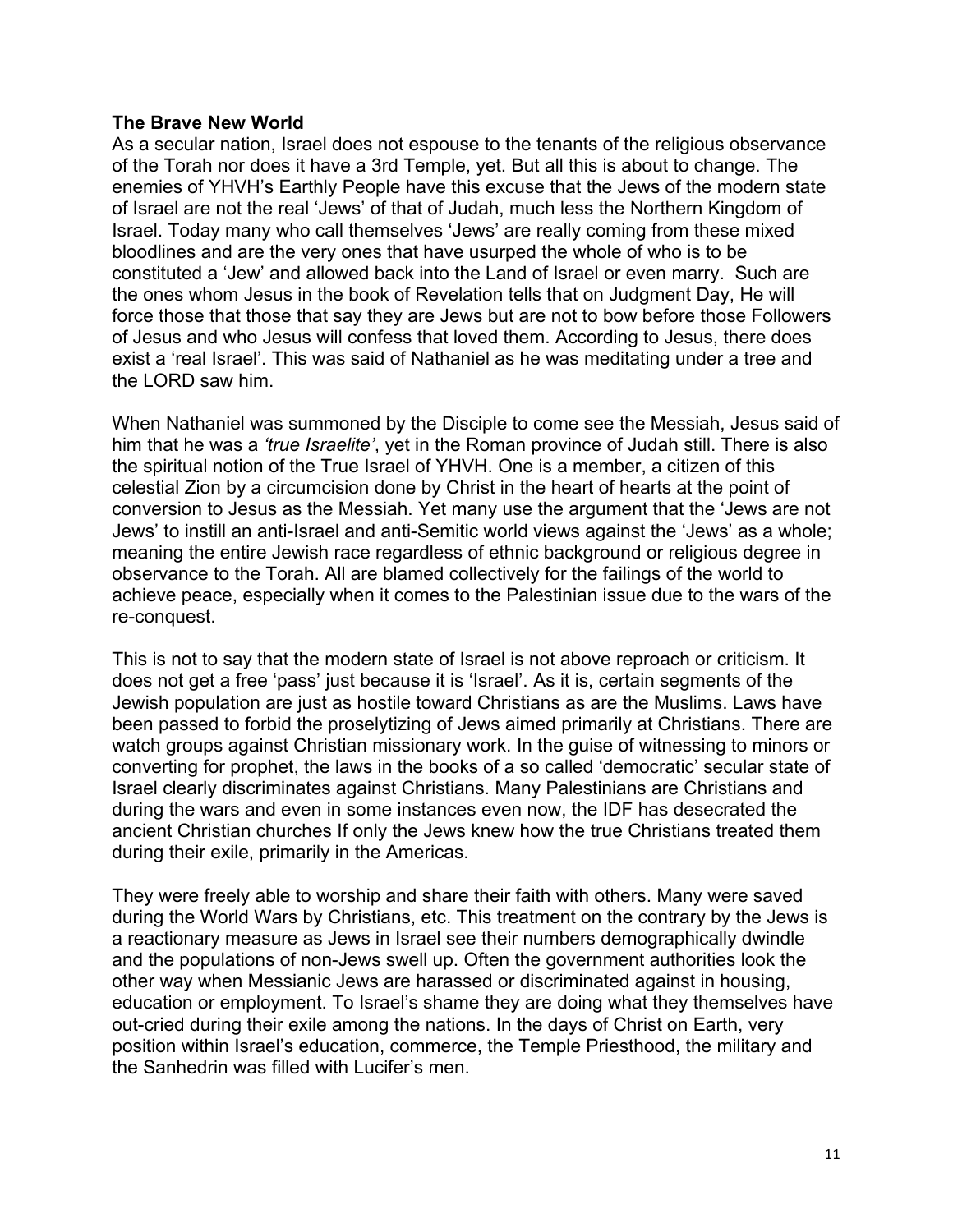#### **The Brave New World**

As a secular nation, Israel does not espouse to the tenants of the religious observance of the Torah nor does it have a 3rd Temple, yet. But all this is about to change. The enemies of YHVH's Earthly People have this excuse that the Jews of the modern state of Israel are not the real 'Jews' of that of Judah, much less the Northern Kingdom of Israel. Today many who call themselves 'Jews' are really coming from these mixed bloodlines and are the very ones that have usurped the whole of who is to be constituted a 'Jew' and allowed back into the Land of Israel or even marry. Such are the ones whom Jesus in the book of Revelation tells that on Judgment Day, He will force those that those that say they are Jews but are not to bow before those Followers of Jesus and who Jesus will confess that loved them. According to Jesus, there does exist a 'real Israel'. This was said of Nathaniel as he was meditating under a tree and the LORD saw him.

When Nathaniel was summoned by the Disciple to come see the Messiah, Jesus said of him that he was a *'true Israelite'*, yet in the Roman province of Judah still. There is also the spiritual notion of the True Israel of YHVH. One is a member, a citizen of this celestial Zion by a circumcision done by Christ in the heart of hearts at the point of conversion to Jesus as the Messiah. Yet many use the argument that the 'Jews are not Jews' to instill an anti-Israel and anti-Semitic world views against the 'Jews' as a whole; meaning the entire Jewish race regardless of ethnic background or religious degree in observance to the Torah. All are blamed collectively for the failings of the world to achieve peace, especially when it comes to the Palestinian issue due to the wars of the re-conquest.

This is not to say that the modern state of Israel is not above reproach or criticism. It does not get a free 'pass' just because it is 'Israel'. As it is, certain segments of the Jewish population are just as hostile toward Christians as are the Muslims. Laws have been passed to forbid the proselytizing of Jews aimed primarily at Christians. There are watch groups against Christian missionary work. In the guise of witnessing to minors or converting for prophet, the laws in the books of a so called 'democratic' secular state of Israel clearly discriminates against Christians. Many Palestinians are Christians and during the wars and even in some instances even now, the IDF has desecrated the ancient Christian churches If only the Jews knew how the true Christians treated them during their exile, primarily in the Americas.

They were freely able to worship and share their faith with others. Many were saved during the World Wars by Christians, etc. This treatment on the contrary by the Jews is a reactionary measure as Jews in Israel see their numbers demographically dwindle and the populations of non-Jews swell up. Often the government authorities look the other way when Messianic Jews are harassed or discriminated against in housing, education or employment. To Israel's shame they are doing what they themselves have out-cried during their exile among the nations. In the days of Christ on Earth, very position within Israel's education, commerce, the Temple Priesthood, the military and the Sanhedrin was filled with Lucifer's men.